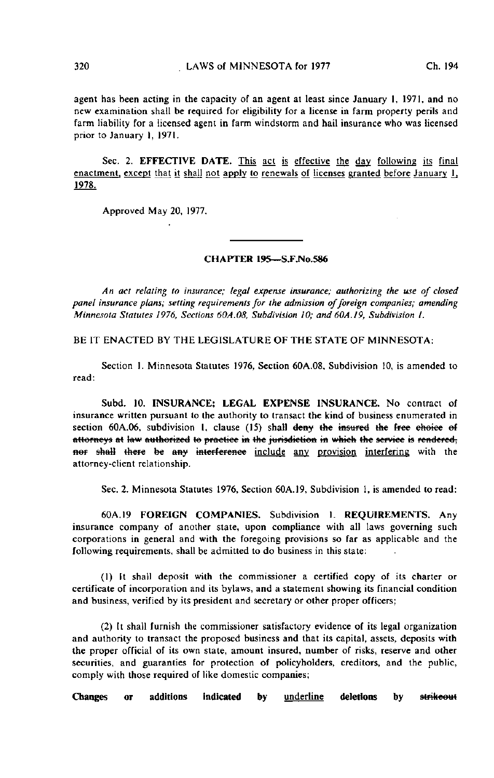agent has been acting in the capacity of an agent at least since January I, 1971, and no new examination shall be required for eligibility for a license in farm property perils and farm liability for a licensed agent in farm windstorm and hail insurance who was licensed prior to January I, 1971.

Sec. 2. EFFECTIVE DATE. This act is effective the day following its final enactment, except that it shall not apply to renewals of licenses granted before January  $1$ , 1978.

Approved May 20, 1977.

## CHAPTER 19S—S.F.No.586

An act relating to insurance; legal expense insurance; authorizing the use of closed panel insurance plans; setting requirements for the admission of foreign companies; amending Minnesota Statutes 1976, Sections 60A.08, Subdivision 10; and 60A.19, Subdivision 1.

BE IT ENACTED BY THE LEGISLATURE OF THE STATE OF MINNESOTA:

Section 1. Minnesota Statutes 1976, Section 60A.08, Subdivision 10, is amended to read:

Subd. 10. INSURANCE; LEGAL EXPENSE INSURANCE. No contract of insurance written pursuant to the authority to transact the kind of business enumerated in section 60A.06, subdivision I, clause (15) shall deny the insured the free choice of attorneys at law authorized to practice in the jurisdiction in which the service is rendered, nor shall there be any interference include any provision interfering with the attorney-client relationship.

Sec. 2. Minnesota Statutes 1976, Section 60A.19, Subdivision 1, is amended to read:

60A.19 FOREIGN COMPANIES. Subdivision 1. REQUIREMENTS. Any insurance company of another state, upon compliance with all laws governing such corporations in general and with the foregoing provisions so far as applicable and the following requirements, shall be admitted to do business in this state:

(1) It shall deposit with the commissioner a certified copy of its charter or certificate of incorporation and its bylaws, and a statement showing its financial condition and business, verified by its president and secretary or other proper officers;

(2) It shall furnish the commissioner satisfactory evidence of its legal organization and authority to transact the proposed business and that its capital, assets, deposits with the proper official of its own state, amount insured, number of risks, reserve and other securities, and guaranties for protection of policyholders, creditors, and the public, comply with those required of like domestic companies;

Changes or additions indicated by underline deletions by strikeout